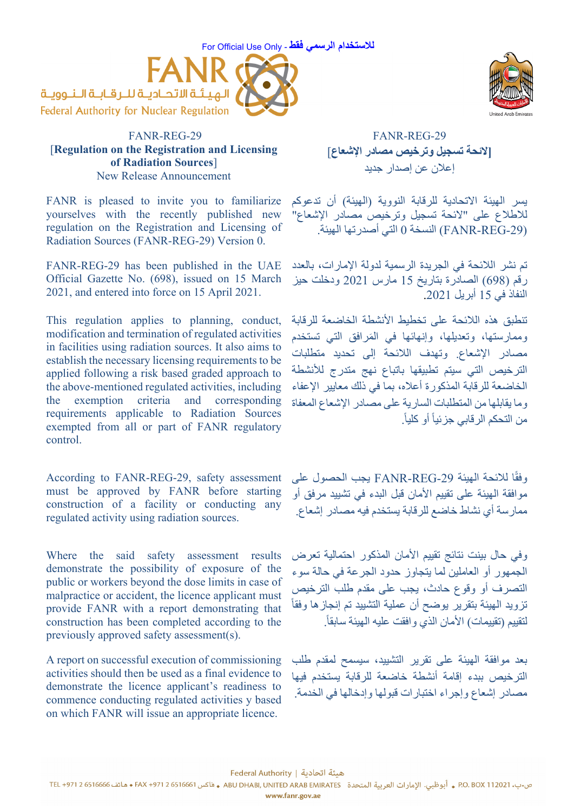## For Official Use Only - **فقط الرسمي للاستخدام**



## FANR-REG-29 [**Regulation on the Registration and Licensing of Radiation Sources**] New Release Announcement

FANR is pleased to invite you to familiarize yourselves with the recently published new regulation on the Registration and Licensing of Radiation Sources (FANR-REG-29) Version 0.

FANR-REG-29 has been published in the UAE Official Gazette No. (698), issued on 15 March 2021, and entered into force on 15 April 2021.

This regulation applies to planning, conduct, modification and termination of regulated activities in facilities using radiation sources. It also aims to establish the necessary licensing requirements to be applied following a risk based graded approach to the above-mentioned regulated activities, including the exemption criteria and corresponding requirements applicable to Radiation Sources exempted from all or part of FANR regulatory control.

According to FANR-REG-29, safety assessment must be approved by FANR before starting construction of a facility or conducting any regulated activity using radiation sources.

Where the said safety assessment results demonstrate the possibility of exposure of the public or workers beyond the dose limits in case of malpractice or accident, the licence applicant must provide FANR with a report demonstrating that construction has been completed according to the previously approved safety assessment(s).

A report on successful execution of commissioning activities should then be used as a final evidence to demonstrate the licence applicant's readiness to commence conducting regulated activities y based on which FANR will issue an appropriate licence.



 FANR-REG-29 **[لائحة تسجيل وترخيص مصادر الإشعاع**] إعلان عن إصدار جديد

يسر الهيئة الاتحادية للرقابة النووية (الهيئة) أن تدعوكم للاطلاع على "لائحة تسجيل وترخيص مصادر الإشعاع" (-29REG-FANR (النسخة 0 التي أصدرتها الهيئة.

تم نشر اللائحة في الجريدة الرسمية لدولة الإمارات، بالعدد رقم (698) الصادرة بتاريخ 15 مارس 2021 ودخلت حيز النفاذ في 15 أبريل .2021

تنطبق هذه اللائحة على تخطيط الأنشطة الخاضعة للرقابة وممارستها، وتعديلها، وإنهائها في المَرافق التي تستخدم مصادر الإشعاع. وتهدف اللائحة إلى تحديد متطلبات الترخيص التي سيتم تطبيقها باتباع نهج متدرج للأنشطة الخاضعة للرقابة المذكورة أعلاه، بما في ذلك معايير الإعفاء وما يقابلها من المتطلبات السارية على مصادر الإشعاع المعفاة من التحكم الرقابي جزئياً أو كلياً.

وفقًا للائحة الهيئة FANR-REG-29 يجب الحصول على موافقة الهيئة على تقييم الأمان قبل البدء في تشييد مرفق أو ممارسة أي نشاط خاضع للرقابة يستخدم فيه مصادر إشعاع.

وفي حال بينت نتائج تقييم الأمان المذكور احتمالية تعرض الجمهور أو العاملين لما يتجاوز حدود الجرعة في حالة سوء التصرف أو وقوع حادث، يجب على مقدم طلب الترخيص تزويد الهيئة بتقرير يوضح أن عملية التشييد تم إنجازها وفقا لتقييم (تقييمات) الأمان الذي وافقت عليه الهيئة سابقاً.

بعد موافقة الهيئة على تقرير التشييد، سيسمح لمقدم طلب الترخيص ببدء إقامة أنشطة خاضعة للرقابة يستخدم فيها مصادر إشعاع وإجراء اختبارات قبولها وإدخالها في الخدمة.

هيئة اتحادية | Federal Authority

ص.ب. 20211 P.O. BOX . أبوظبي. الإمارات العربية المتحدة ABU DHABI, UNITED ARAB EMIRATES و فاكس 6516661 + FAX +971 و 6516661 مقاتف 6516666 . و FAX +971 2 6516661

www.fanr.gov.ae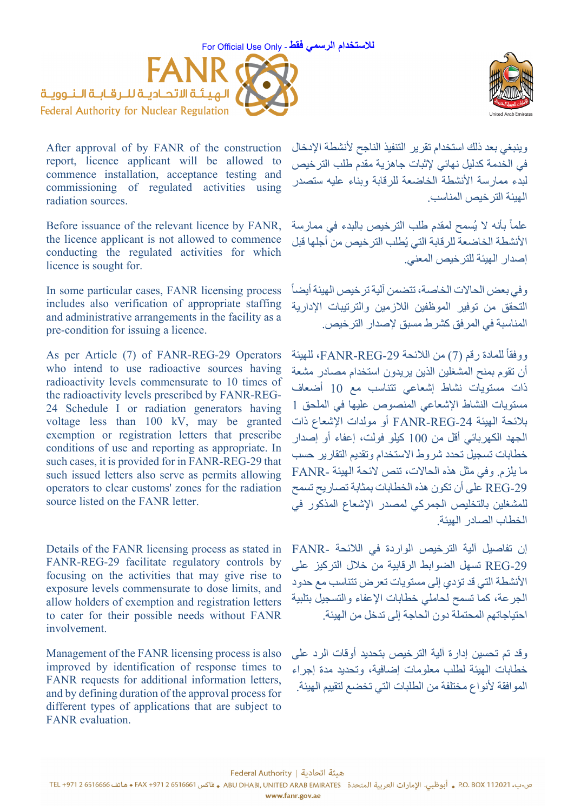For Official Use Only - **فقط الرسمي للاستخدام**





After approval of by FANR of the construction report, licence applicant will be allowed to commence installation, acceptance testing and commissioning of regulated activities using radiation sources.

Before issuance of the relevant licence by FANR, the licence applicant is not allowed to commence conducting the regulated activities for which licence is sought for.

In some particular cases, FANR licensing process includes also verification of appropriate staffing and administrative arrangements in the facility as a pre-condition for issuing a licence.

As per Article (7) of FANR-REG-29 Operators who intend to use radioactive sources having radioactivity levels commensurate to 10 times of the radioactivity levels prescribed by FANR-REG-24 Schedule I or radiation generators having voltage less than 100 kV, may be granted exemption or registration letters that prescribe conditions of use and reporting as appropriate. In such cases, it is provided for in FANR-REG-29 that such issued letters also serve as permits allowing operators to clear customs' zones for the radiation source listed on the FANR letter.

Details of the FANR licensing process as stated in FANR-REG-29 facilitate regulatory controls by focusing on the activities that may give rise to exposure levels commensurate to dose limits, and allow holders of exemption and registration letters to cater for their possible needs without FANR involvement.

Management of the FANR licensing process is also improved by identification of response times to FANR requests for additional information letters, and by defining duration of the approval process for different types of applications that are subject to FANR evaluation.

وينبغي بعد ذلك استخدام تقرير التنفيذ الناجح لأنشطة الإدخال في الخدمة كدليل نهائي لإثبات جاهزية مقدم طلب الترخيص لبدء ممارسة الأنشطة الخاضعة للرقابة وبناء عليه ستصدر الهيئة الترخيص المناسب.

علماً بأنه لا يُسمح لمقدم طلب الترخيص بالبدء في ممارسة الأنشطة الخاضعة للرقابة التي يُطلب الترخيص من أجلها قبل إصدار الهيئة للترخيص المعني.

وفي بعض الحالات الخاصة، تتضمن آلية ترخيص الهيئة أيضا التحقق من توفير الموظفين اللازمين والترتيبات الإدارية المناسبة في المرفق كشرط مسبق لإصدار الترخيص.

ووفقاً للمادة رقم (7) من اللائحة FANR-REG-29، للهيئة أن تقوم بمنح المشغلين الذين يريدون استخدام مصادر مشعة ذات مستويات نشاط إشعاعي تتناسب مع 10 أضعاف مستويات النشاط الإشعاعي المنصوص عليها في الملحق 1 بلائحة الهيئة -24REG-FANR أو مولدات الإشعاع ذات الجهد الكهربائي أقل من 100 كيلو فولت، إعفاء أو إصدار خطابات تسجيل تحدد شروط الاستخدام وتقديم التقارير حسب ما يلزم. وفي مثل هذه الحالات، تنص لائحة الهيئة -FANR -29REG على أن تكون هذه الخطابات بمثابة تصاريح تسمح للمشغلين بالتخليص الجمركي لمصدر الإشعاع المذكور في الخطاب الصادر الهيئة.

إن تفاصيل آلية الترخيص الواردة في اللائحة -FANR -29REG تسهل الضوابط الرقابية من خلال التركيز على الأنشطة التي قد تؤدي إلى مستويات تعرض تتناسب مع حدود الجرعة، كما تسمح لحاملي خطابات الإعفاء والتسجيل بتلبية احتياجاتهم المحتملة دون الحاجة إلى تدخل من الهيئة.

وقد تم تحسين إدارة آلية الترخيص بتحديد أوقات الرد على خطابات الهيئة لطلب معلومات إضافية، وتحديد مدة إجراء الموافقة لأنواع مختلفة من الطلبات التي تخضع لتقييم الهيئة.

هيئة اتحادية | Federal Authority

ص.ب. 20211 P.O. BOX . أبوظبي. الإمارات العربية المتحدة ABU DHABI, UNITED ARAB EMIRATES و فاكس 6516661 + FAX +971 و 6516661 مقاتف 6516666 . و FAX +971 2 6516661

www.fanr.gov.ae